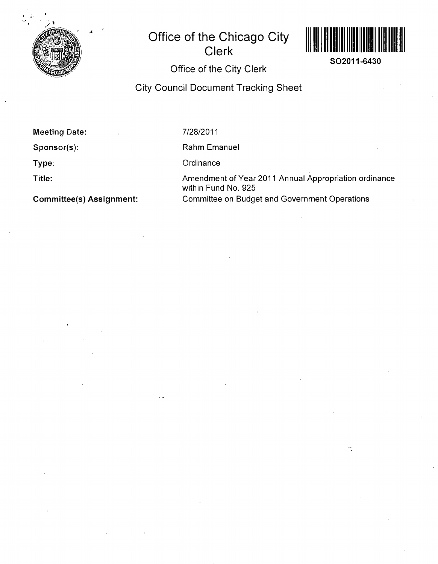

## **Office of the Chicago City Clerk**



**SO2011-6430** 

## **Office of the City Clerk**

**City Council Document Tracking Sheet** 

**Meeting Date:** 

**Sponsor(s):** 

**Type:** 

**Title:** 

**Committee(s) Assignment:** 

7/28/2011

Rahm Emanuel

**Ordinance** 

Amendment of Year 2011 Annual Appropriation ordinance within Fund No. 925 Committee on Budget and Government Operations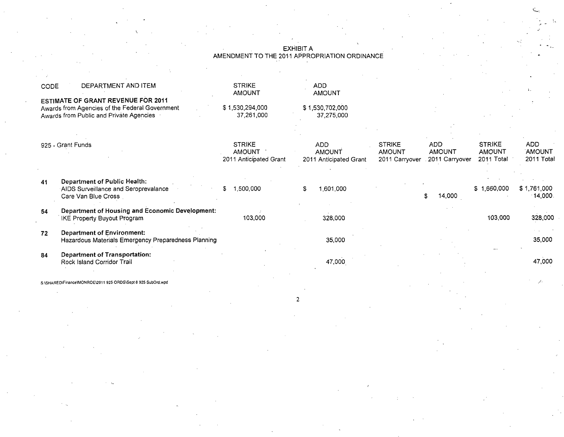|      |                                                                                                                                        |                                                          | <b>EXHIBIT A</b>                                      |                                                  |                                               |                                              |                                    |
|------|----------------------------------------------------------------------------------------------------------------------------------------|----------------------------------------------------------|-------------------------------------------------------|--------------------------------------------------|-----------------------------------------------|----------------------------------------------|------------------------------------|
|      |                                                                                                                                        |                                                          | AMENDMENT TO THE 2011 APPROPRIATION ORDINANCE         |                                                  |                                               |                                              |                                    |
|      |                                                                                                                                        |                                                          |                                                       |                                                  |                                               |                                              |                                    |
| CODE | DEPARTMENT AND ITEM                                                                                                                    | <b>STRIKE</b><br><b>AMOUNT</b>                           | <b>ADD</b><br><b>AMOUNT</b>                           |                                                  |                                               |                                              |                                    |
|      | <b>ESTIMATE OF GRANT REVENUE FOR 2011</b><br>Awards from Agencies of the Federal Government<br>Awards from Public and Private Agencies | \$1,530,294,000<br>37,261,000                            | \$1,530,702,000<br>37,275,000                         |                                                  |                                               |                                              |                                    |
|      | 925 - Grant Funds                                                                                                                      | <b>STRIKE</b><br><b>AMOUNT</b><br>2011 Anticipated Grant | <b>ADD</b><br><b>AMOUNT</b><br>2011 Anticipated Grant | <b>STRIKE</b><br><b>AMOUNT</b><br>2011 Carryover | <b>ADD</b><br><b>AMOUNT</b><br>2011 Carryover | <b>STRIKE</b><br><b>AMOUNT</b><br>2011 Total | <b>ADD</b><br>AMOUNT<br>2011 Total |
| 41   | Department of Public Health:<br>AIDS Surveillance and Seroprevalance<br>Care Van Blue Cross                                            | 1,500,000                                                | 1,601,000                                             |                                                  | 14,000<br>\$                                  | \$1,660,000                                  | \$1,761,000<br>$-14,000.$          |
| 54   | Department of Housing and Economic Development:<br><b>IKE Property Buyout Program</b>                                                  | 103,000                                                  | 328,000                                               |                                                  |                                               | 103,000                                      | 328,000                            |
| 72   | <b>Department of Environment:</b><br>Hazardous Materials Emergency Preparedness Planning                                               |                                                          | 35,000                                                |                                                  |                                               |                                              | 35,000                             |
| 84   | <b>Department of Transportation:</b><br>Rock Island Corridor Trail                                                                     |                                                          | 47,000                                                |                                                  |                                               |                                              | 47,000                             |
|      | S:\SHARED\Finance\MONROE\2011 925 ORDS\Sept 8 925 SubOrd.wpd                                                                           |                                                          |                                                       |                                                  |                                               |                                              |                                    |

 $\sim$ 

٠,

 $\overline{2}$ 

c.

 $\lambda$ 

 $\ddot{\phantom{a}}$ 

**COL**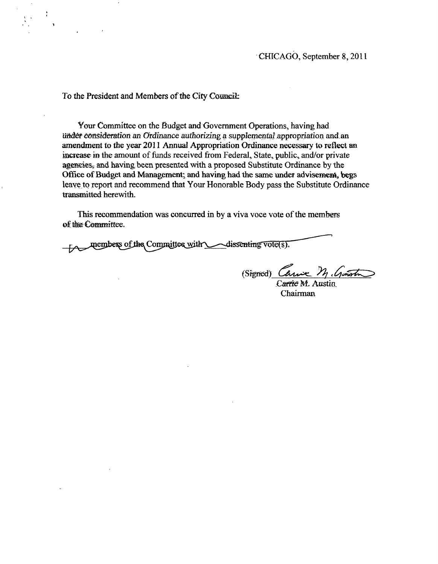To the President and Members of the City Council:

Your Committee on the Budget and Government Operations, having had under consideration an Ordinance authorizing a supplemental appropriation and an amendment to the year 2011 Annual Appropriation Ordinance necessary to reflect an increase in the amount of funds received from Federal, State, public, and/or private agencies, and having been presented with a proposed Substitute Ordinance by the Office of Budget and Management; and having had the same under advisement, begs leave to report and recommend that Your Honorable Body pass the Substitute Ordinance transmitted herewith.

This recommendation was concurred in by a viva voce vote of the members of the Committee.

members of the Committee with <u>Alissenting votets</u>).

(Signed) Canie M. Genoti

Carrie M. Austin Chairman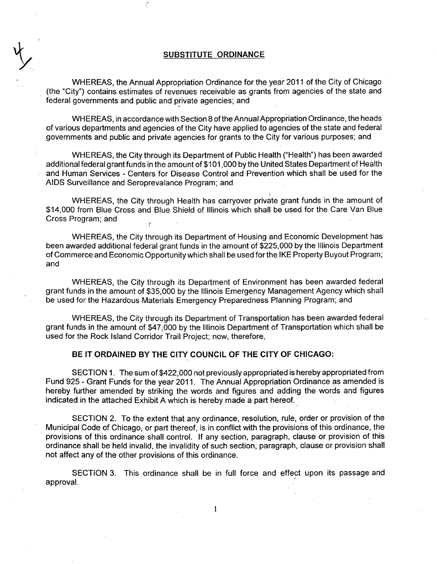## **SUBSTITUTE ORDINANCE**

**y** 

WHEREAS, the Annual Appropriation Ordinance for the year 2011 of the City of Chicago (the "City") contains estimates of revenues receivable as grants from agencies of the state and federal governments and public and private agencies; and

WHEREAS, in accordance with Section 8 of the Annual Appropriation Ordinance, the heads of various departments and agencies of the City have applied to agencies of the state and federal governments and public and private agencies for grants to the City for various purposes; and

WHEREAS, the City through its Department of Public Health ("Health") has been awarded additional federal grant funds in the amount of \$101,000 by the United States Department of Health and Human Services - Centers for Disease Control and Prevention which shall be used for the AIDS Surveillance and Seroprevalance Program; and

WHEREAS, the City through Health has carryover private grant funds in the amount of \$14,000 from Blue Cross and Blue Shield of Illinois which shall be used for the Care Van Blue Cross Program; and

WHEREAS, the City through its Department of Housing and Economic Development has been awarded additional federal grant funds in the amount of \$225,000 by the Illinois Department of Commerce and Economic Opportunity which shall be used for the IKE Property Buyout Program; and

WHEREAS, the City through its Department of Environment has been awarded federal grant funds in the amount of \$35,000 by the Illinois Emergency Management Agency which shall be used for the Hazardous Materials Emergency Preparedness Planning Program; and

WHEREAS, the City through its Department of Transportation has been awarded federal grant funds in the amount of \$47,000 by the Illinois Department of Transportation which shall be used for the Rock Island Corridor Trail Project; now, therefore,

## **BE IT ORDAINED BY THE CITY COUNCIL OF THE CITY OF CHICAGO:**

SECTION 1. The sum of \$422,000 not previously appropriated is hereby appropriated from Fund 925 - Grant Funds for the year 2011. The Annual Appropriation Ordinance as amended is hereby further amended by striking the words and figures and adding the words and figures indicated in the attached Exhibit A which is hereby made a part hereof.

SECTION 2. To the extent that any ordinance, resolution, rule, order or provision of the Municipal Code of Chicago, or part thereof, is in conflict with the provisions of this ordinance, the provisions of this ordinance shall control. If any section, paragraph, clause or provision of this ordinance shall be held invalid, the invalidity of such section, paragraph, clause or provision shall not affect any of the other provisions of this ordinance.

SECTION 3. This ordinance shall be in full force and effect upon its passage and approval.

 $\mathbf{1}$